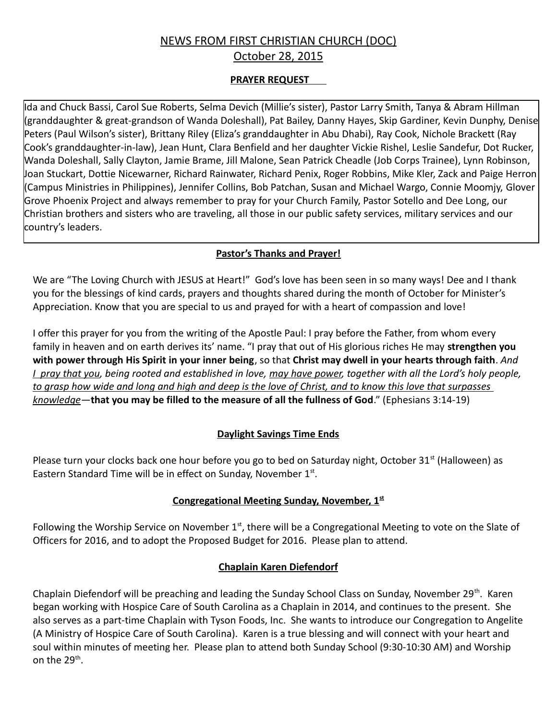# NEWS FROM FIRST CHRISTIAN CHURCH (DOC) October 28, 2015

### **PRAYER REQUEST**

Ida and Chuck Bassi, Carol Sue Roberts, Selma Devich (Millie's sister), Pastor Larry Smith, Tanya & Abram Hillman (granddaughter & great-grandson of Wanda Doleshall), Pat Bailey, Danny Hayes, Skip Gardiner, Kevin Dunphy, Denise Peters (Paul Wilson's sister), Brittany Riley (Eliza's granddaughter in Abu Dhabi), Ray Cook, Nichole Brackett (Ray Cook's granddaughter-in-law), Jean Hunt, Clara Benfield and her daughter Vickie Rishel, Leslie Sandefur, Dot Rucker, Wanda Doleshall, Sally Clayton, Jamie Brame, Jill Malone, Sean Patrick Cheadle (Job Corps Trainee), Lynn Robinson, Joan Stuckart, Dottie Nicewarner, Richard Rainwater, Richard Penix, Roger Robbins, Mike Kler, Zack and Paige Herron (Campus Ministries in Philippines), Jennifer Collins, Bob Patchan, Susan and Michael Wargo, Connie Moomjy, Glover Grove Phoenix Project and always remember to pray for your Church Family, Pastor Sotello and Dee Long, our Christian brothers and sisters who are traveling, all those in our public safety services, military services and our country's leaders.

#### **Pastor's Thanks and Prayer!**

We are "The Loving Church with JESUS at Heart!" God's love has been seen in so many ways! Dee and I thank you for the blessings of kind cards, prayers and thoughts shared during the month of October for Minister's Appreciation. Know that you are special to us and prayed for with a heart of compassion and love!

I offer this prayer for you from the writing of the Apostle Paul: I pray before the Father, from whom every family in heaven and on earth derives its' name. "I pray that out of His glorious riches He may **strengthen you with power through His Spirit in your inner being**, so that **Christ may dwell in your hearts through faith**. *And I pray that you, being rooted and established in love, may have power, together with all the Lord's holy people, to grasp how wide and long and high and deep is the love of Christ, and to know this love that surpasses knowledge*—**that you may be filled to the measure of all the fullness of God**." (Ephesians 3:14-19)

# **Daylight Savings Time Ends**

Please turn your clocks back one hour before you go to bed on Saturday night, October 31<sup>st</sup> (Halloween) as Eastern Standard Time will be in effect on Sunday, November 1st.

# **Congregational Meeting Sunday, November, 1st**

Following the Worship Service on November  $1<sup>st</sup>$ , there will be a Congregational Meeting to vote on the Slate of Officers for 2016, and to adopt the Proposed Budget for 2016. Please plan to attend.

# **Chaplain Karen Diefendorf**

Chaplain Diefendorf will be preaching and leading the Sunday School Class on Sunday, November 29<sup>th</sup>. Karen began working with Hospice Care of South Carolina as a Chaplain in 2014, and continues to the present. She also serves as a part-time Chaplain with Tyson Foods, Inc. She wants to introduce our Congregation to Angelite (A Ministry of Hospice Care of South Carolina). Karen is a true blessing and will connect with your heart and soul within minutes of meeting her. Please plan to attend both Sunday School (9:30-10:30 AM) and Worship on the 29<sup>th</sup>.